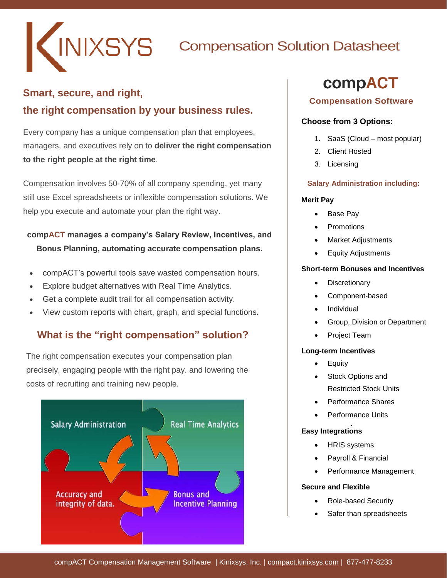

## **Smart, secure, and right, the right compensation by your business rules.**

Every company has a unique compensation plan that employees, managers, and executives rely on to **deliver the right compensation to the right people at the right time**.

Compensation involves 50-70% of all company spending, yet many still use Excel spreadsheets or inflexible compensation solutions. We help you execute and automate your plan the right way.

## **compACT manages a company's Salary Review, Incentives, and Bonus Planning, automating accurate compensation plans.**

- compACT's powerful tools save wasted compensation hours.
- Explore budget alternatives with Real Time Analytics.
- Get a complete audit trail for all compensation activity.
- View custom reports with chart, graph, and special functions**.**

## **What is the "right compensation" solution?**

The right compensation executes your compensation plan precisely, engaging people with the right pay. and lowering the costs of recruiting and training new people.



# compACT

#### **Compensation Software**

#### **Choose from 3 Options:**

- 1. SaaS (Cloud most popular)
- 2. Client Hosted
- 3. Licensing

#### **Salary Administration including:**

#### **Merit Pay**

- Base Pay
- Promotions
- Market Adjustments
- Equity Adjustments

#### **Short-term Bonuses and Incentives**

- **Discretionary**
- Component-based
- Individual
- Group, Division or Department
- Project Team

#### **Long-term Incentives**

- Equity
- Stock Options and Restricted Stock Units
- Performance Shares
- Performance Units

## **Easy Integrations**

- HRIS systems
- Payroll & Financial
- Performance Management

#### **Secure and Flexible**

- Role-based Security
- Safer than spreadsheets